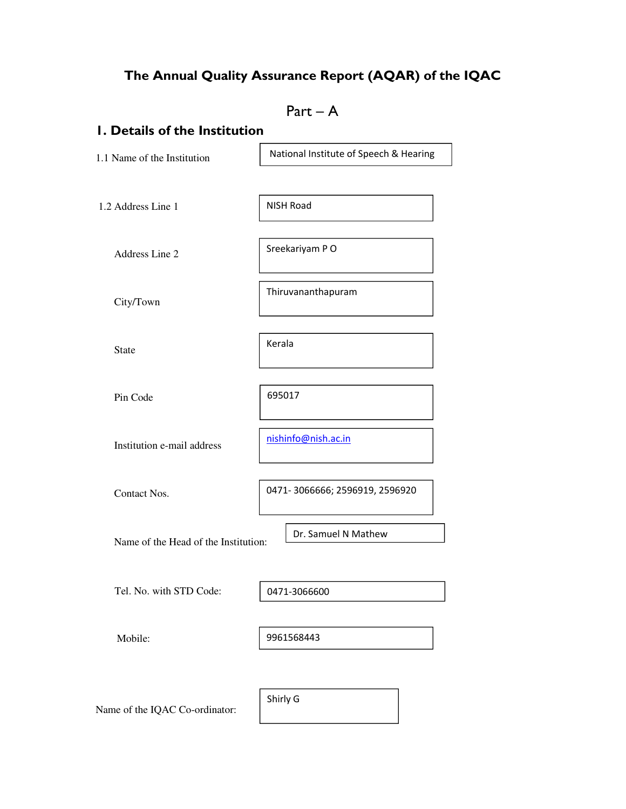# The Annual Quality Assurance Report (AQAR) of the IQAC

|                                      | $Part - A$                             |  |  |  |
|--------------------------------------|----------------------------------------|--|--|--|
| <b>I. Details of the Institution</b> |                                        |  |  |  |
| 1.1 Name of the Institution          | National Institute of Speech & Hearing |  |  |  |
|                                      |                                        |  |  |  |
| 1.2 Address Line 1                   | <b>NISH Road</b>                       |  |  |  |
| Address Line 2                       | Sreekariyam PO                         |  |  |  |
| City/Town                            | Thiruvananthapuram                     |  |  |  |
| <b>State</b>                         | Kerala                                 |  |  |  |
| Pin Code                             | 695017                                 |  |  |  |
| Institution e-mail address           | nishinfo@nish.ac.in                    |  |  |  |
| Contact Nos.                         | 0471-3066666; 2596919, 2596920         |  |  |  |
| Name of the Head of the Institution: | Dr. Samuel N Mathew                    |  |  |  |
| Tel. No. with STD Code:              | 0471-3066600                           |  |  |  |
| Mobile:                              | 9961568443                             |  |  |  |
| Name of the IQAC Co-ordinator:       | Shirly G                               |  |  |  |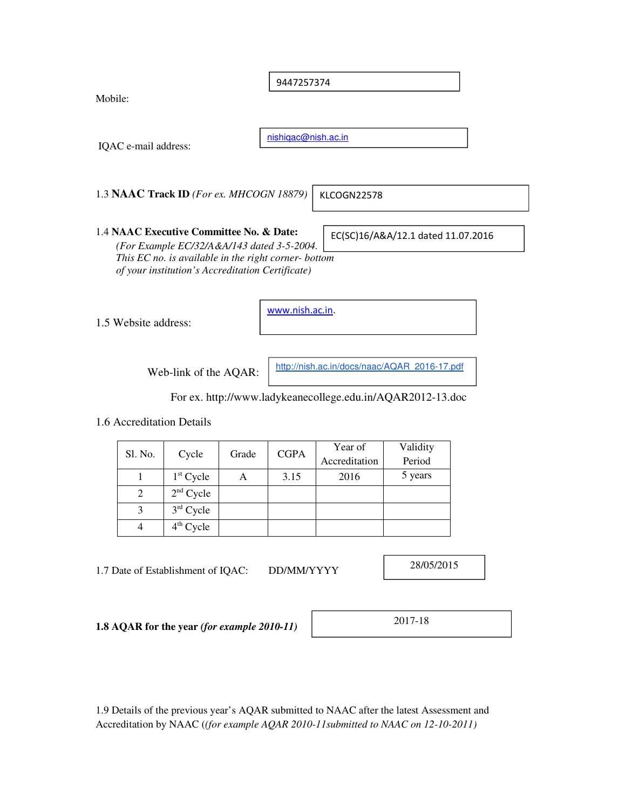9447257374

Mobile:

nishiqac@nish.ac.in

1.3 **NAAC Track ID** *(For ex. MHCOGN 18879)*

EC(SC)16/A&A/12.1 dated 11.07.2016

1.4 **NAAC Executive Committee No. & Date:**  *(For Example EC/32/A&A/143 dated 3-5-2004. This EC no. is available in the right corner- bottom of your institution's Accreditation Certificate)* 

1.5 Website address:

IQAC e-mail address:

www.nish.ac.in.

Web-link of the AQAR:

http://nish.ac.in/docs/naac/AQAR\_2016-17.pdf

KLCOGN22578

For ex. http://www.ladykeanecollege.edu.in/AQAR2012-13.doc

1.6 Accreditation Details

| Sl. No. | Cycle       |   | <b>CGPA</b><br>Grade | Year of       | Validity |
|---------|-------------|---|----------------------|---------------|----------|
|         |             |   |                      | Accreditation | Period   |
|         | $1st$ Cycle | А | 3.15                 | 2016          | 5 years  |
| 2       | $2nd$ Cycle |   |                      |               |          |
| 3       | $3rd$ Cycle |   |                      |               |          |
|         | $4th$ Cycle |   |                      |               |          |

1.7 Date of Establishment of IQAC: DD/MM/YYYY

28/05/2015

**1.8 AQAR for the year** *(for example 2010-11)*

2017-18

1.9 Details of the previous year's AQAR submitted to NAAC after the latest Assessment and Accreditation by NAAC (*(for example AQAR 2010-11submitted to NAAC on 12-10-2011)*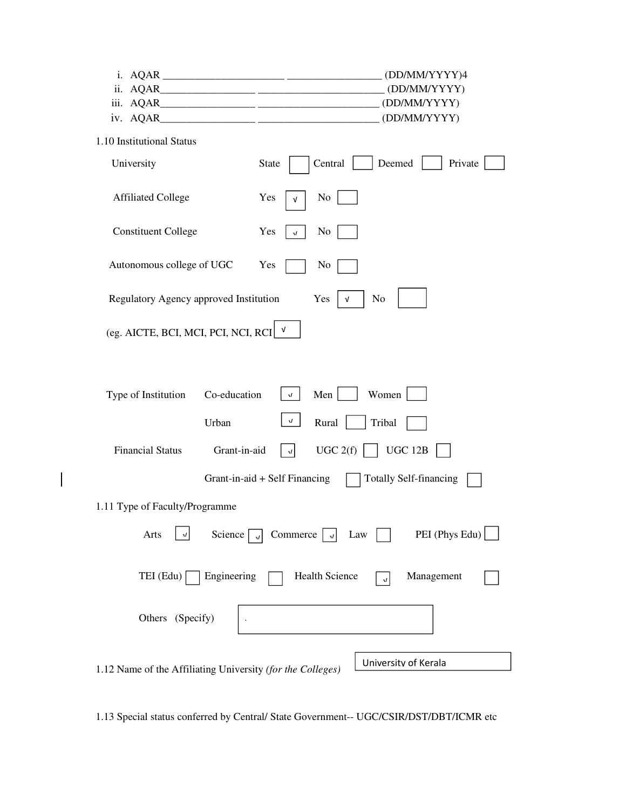|                                                                                           | (DD/MM/YYYY)4                                                  |  |  |  |
|-------------------------------------------------------------------------------------------|----------------------------------------------------------------|--|--|--|
|                                                                                           |                                                                |  |  |  |
|                                                                                           |                                                                |  |  |  |
|                                                                                           | (DD/MM/YYYY)                                                   |  |  |  |
| 1.10 Institutional Status                                                                 |                                                                |  |  |  |
| University                                                                                | Deemed<br>Central<br>Private<br><b>State</b>                   |  |  |  |
| <b>Affiliated College</b>                                                                 | N <sub>0</sub><br>Yes<br>$\sqrt{ }$                            |  |  |  |
| <b>Constituent College</b>                                                                | N <sub>0</sub><br>Yes<br>$\sqrt{ }$                            |  |  |  |
| Autonomous college of UGC                                                                 | Yes<br>No                                                      |  |  |  |
| Regulatory Agency approved Institution                                                    | No<br>Yes<br>V                                                 |  |  |  |
| (eg. AICTE, BCI, MCI, PCI, NCI, RCI                                                       | V                                                              |  |  |  |
| Co-education<br>Type of Institution                                                       | Men<br>Women<br>$\sqrt{ }$                                     |  |  |  |
| Urban                                                                                     | $\sqrt{ }$<br>Rural<br>Tribal                                  |  |  |  |
| <b>Financial Status</b><br>Grant-in-aid                                                   | UGC 2(f)<br>UGC 12B<br>$\sqrt{ }$                              |  |  |  |
|                                                                                           | Grant-in-aid + Self Financing<br><b>Totally Self-financing</b> |  |  |  |
| 1.11 Type of Faculty/Programme                                                            |                                                                |  |  |  |
| PEI (Phys Edu)<br>Commerce<br>Arts<br>Science $\lceil$<br>Law<br>$\sqrt{ }$<br>$\sqrt{ }$ |                                                                |  |  |  |
| TEI (Edu)<br>Engineering                                                                  | <b>Health Science</b><br>Management<br>$\boldsymbol{J}$        |  |  |  |
| Others (Specify)                                                                          |                                                                |  |  |  |
| 1.12 Name of the Affiliating University (for the Colleges)                                | University of Kerala                                           |  |  |  |

 $\begin{array}{c} \hline \end{array}$ 

1.13 Special status conferred by Central/ State Government-- UGC/CSIR/DST/DBT/ICMR etc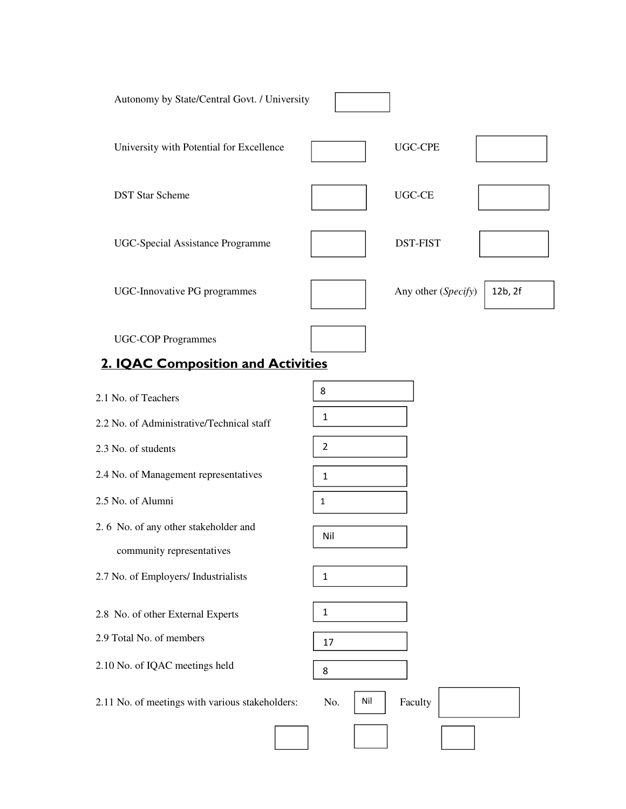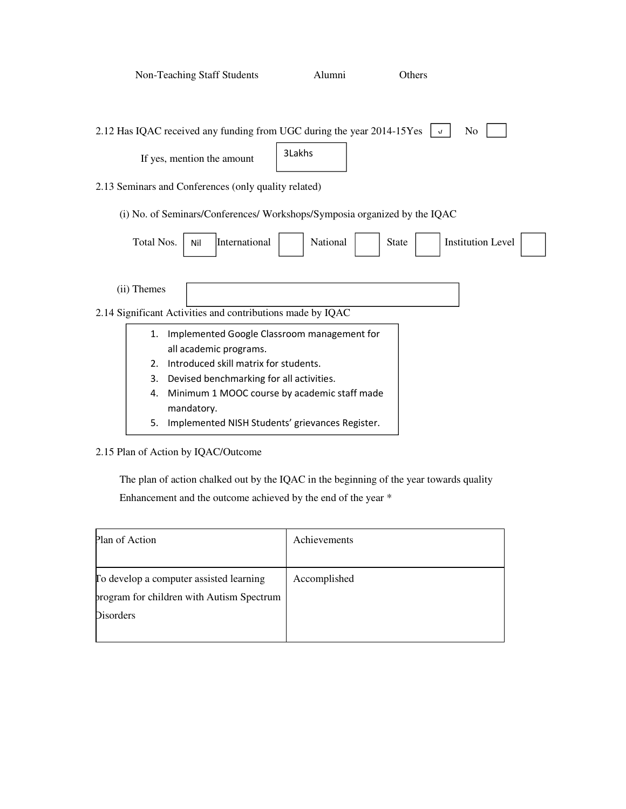|             | <b>Non-Teaching Staff Students</b>                                        | Alumni   |              | Others     |                          |  |
|-------------|---------------------------------------------------------------------------|----------|--------------|------------|--------------------------|--|
|             |                                                                           |          |              |            |                          |  |
|             | 2.12 Has IQAC received any funding from UGC during the year 2014-15Yes    |          |              | $\sqrt{ }$ | No                       |  |
|             | If yes, mention the amount                                                | 3Lakhs   |              |            |                          |  |
|             | 2.13 Seminars and Conferences (only quality related)                      |          |              |            |                          |  |
|             | (i) No. of Seminars/Conferences/ Workshops/Symposia organized by the IQAC |          |              |            |                          |  |
| Total Nos.  | International<br>Nil                                                      | National | <b>State</b> |            | <b>Institution Level</b> |  |
| (ii) Themes |                                                                           |          |              |            |                          |  |
|             | 2.14 Significant Activities and contributions made by IQAC                |          |              |            |                          |  |
| 1.          | Implemented Google Classroom management for                               |          |              |            |                          |  |
|             | all academic programs.                                                    |          |              |            |                          |  |
| $2_{-}$     | Introduced skill matrix for students.                                     |          |              |            |                          |  |
| 3.          | Devised benchmarking for all activities.                                  |          |              |            |                          |  |
| 4.          | Minimum 1 MOOC course by academic staff made<br>mandatory.                |          |              |            |                          |  |
| 5.          | Implemented NISH Students' grievances Register.                           |          |              |            |                          |  |

## 2.15 Plan of Action by IQAC/Outcome

 The plan of action chalked out by the IQAC in the beginning of the year towards quality Enhancement and the outcome achieved by the end of the year \*

| Plan of Action                            | Achievements |
|-------------------------------------------|--------------|
|                                           |              |
| To develop a computer assisted learning   | Accomplished |
| program for children with Autism Spectrum |              |
| <b>Disorders</b>                          |              |
|                                           |              |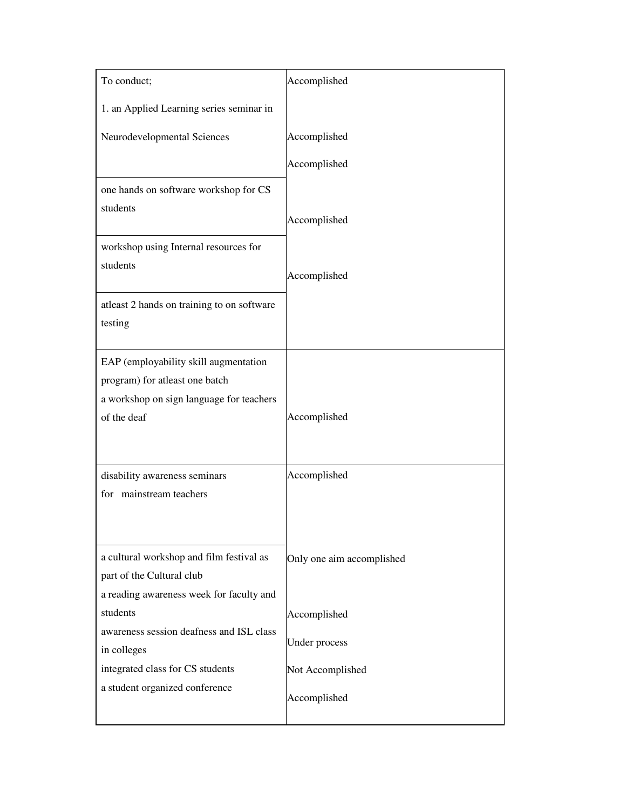| To conduct;                                                                                                                        | Accomplished                     |
|------------------------------------------------------------------------------------------------------------------------------------|----------------------------------|
| 1. an Applied Learning series seminar in                                                                                           |                                  |
| Neurodevelopmental Sciences                                                                                                        | Accomplished                     |
|                                                                                                                                    | Accomplished                     |
| one hands on software workshop for CS<br>students                                                                                  | Accomplished                     |
| workshop using Internal resources for<br>students                                                                                  | Accomplished                     |
| atleast 2 hands on training to on software<br>testing                                                                              |                                  |
| EAP (employability skill augmentation<br>program) for atleast one batch<br>a workshop on sign language for teachers<br>of the deaf | Accomplished                     |
| disability awareness seminars<br>for mainstream teachers                                                                           | Accomplished                     |
| a cultural workshop and film festival as<br>part of the Cultural club<br>a reading awareness week for faculty and                  | Only one aim accomplished        |
| students                                                                                                                           | Accomplished                     |
| awareness session deafness and ISL class<br>in colleges                                                                            | Under process                    |
| integrated class for CS students<br>a student organized conference                                                                 | Not Accomplished<br>Accomplished |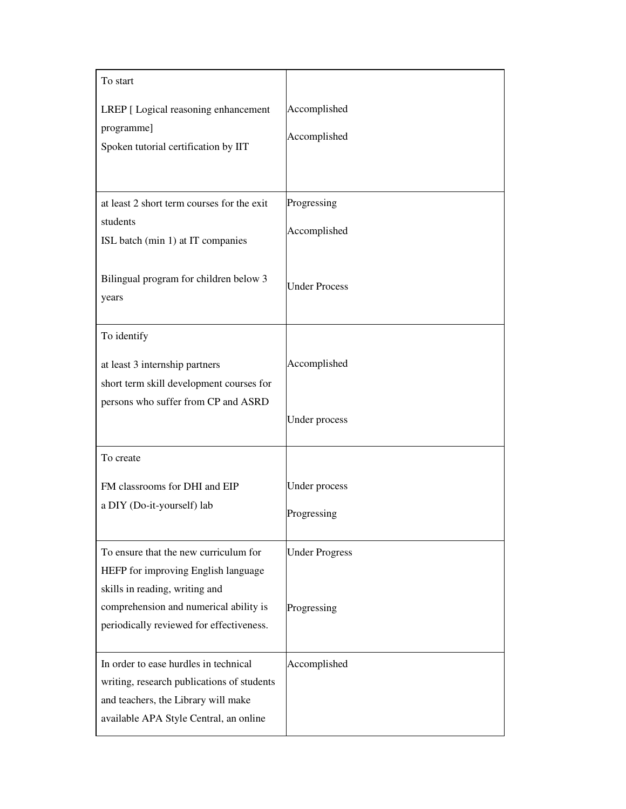| To start                                                                           |                       |
|------------------------------------------------------------------------------------|-----------------------|
| LREP [ Logical reasoning enhancement<br>programme]                                 | Accomplished          |
| Spoken tutorial certification by IIT                                               | Accomplished          |
|                                                                                    |                       |
| at least 2 short term courses for the exit                                         | Progressing           |
| students<br>ISL batch (min 1) at IT companies                                      | Accomplished          |
| Bilingual program for children below 3<br>years                                    | <b>Under Process</b>  |
| To identify                                                                        |                       |
| at least 3 internship partners                                                     | Accomplished          |
| short term skill development courses for<br>persons who suffer from CP and ASRD    |                       |
|                                                                                    | Under process         |
| To create                                                                          |                       |
| FM classrooms for DHI and EIP                                                      | Under process         |
| a DIY (Do-it-yourself) lab                                                         | Progressing           |
| To ensure that the new curriculum for<br>HEFP for improving English language       | <b>Under Progress</b> |
| skills in reading, writing and                                                     |                       |
| comprehension and numerical ability is<br>periodically reviewed for effectiveness. | Progressing           |
| In order to ease hurdles in technical                                              | Accomplished          |
| writing, research publications of students<br>and teachers, the Library will make  |                       |
| available APA Style Central, an online                                             |                       |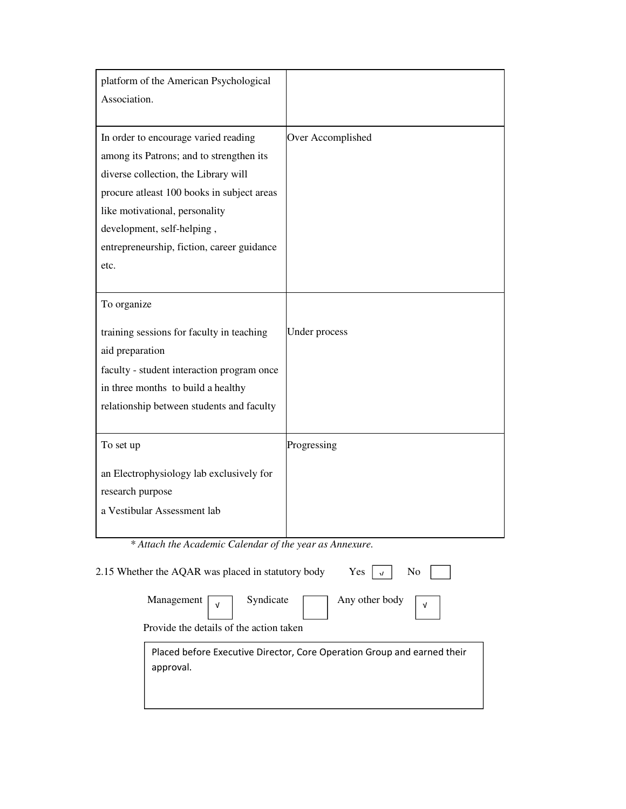| platform of the American Psychological<br>Association.  |                                                                         |
|---------------------------------------------------------|-------------------------------------------------------------------------|
| In order to encourage varied reading                    | Over Accomplished                                                       |
| among its Patrons; and to strengthen its                |                                                                         |
| diverse collection, the Library will                    |                                                                         |
| procure atleast 100 books in subject areas              |                                                                         |
| like motivational, personality                          |                                                                         |
| development, self-helping,                              |                                                                         |
| entrepreneurship, fiction, career guidance              |                                                                         |
| etc.                                                    |                                                                         |
|                                                         |                                                                         |
| To organize                                             |                                                                         |
| training sessions for faculty in teaching               | Under process                                                           |
| aid preparation                                         |                                                                         |
| faculty - student interaction program once              |                                                                         |
| in three months to build a healthy                      |                                                                         |
| relationship between students and faculty               |                                                                         |
| To set up                                               | Progressing                                                             |
|                                                         |                                                                         |
| an Electrophysiology lab exclusively for                |                                                                         |
| research purpose                                        |                                                                         |
| a Vestibular Assessment lab                             |                                                                         |
| * Attach the Academic Calendar of the year as Annexure. |                                                                         |
| 2.15 Whether the AQAR was placed in statutory body      | Yes<br>No                                                               |
| Syndicate<br>Management<br>v                            | Any other body<br>$\sqrt{ }$                                            |
| Provide the details of the action taken                 |                                                                         |
| approval.                                               | Placed before Executive Director, Core Operation Group and earned their |
|                                                         |                                                                         |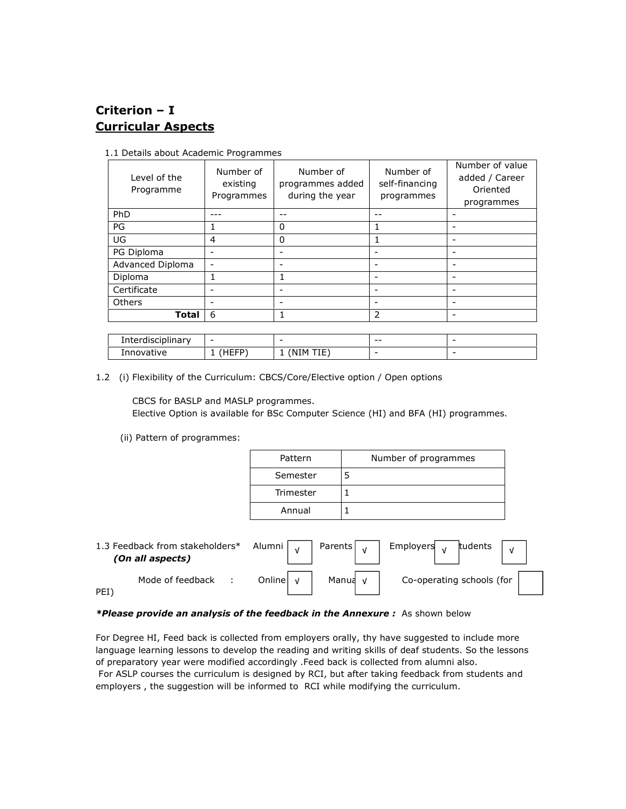## Criterion – I Curricular Aspects

| Level of the<br>Programme | Number of<br>existing<br>Programmes | Number of<br>programmes added<br>during the year | Number of<br>self-financing<br>programmes | Number of value<br>added / Career<br>Oriented<br>programmes |
|---------------------------|-------------------------------------|--------------------------------------------------|-------------------------------------------|-------------------------------------------------------------|
| PhD                       |                                     |                                                  |                                           |                                                             |
| PG                        |                                     | 0                                                | 1                                         |                                                             |
| UG                        | 4                                   | 0                                                | 1                                         |                                                             |
| PG Diploma                |                                     |                                                  | -                                         | -                                                           |
| Advanced Diploma          |                                     |                                                  | -                                         |                                                             |
| Diploma                   |                                     |                                                  | -                                         |                                                             |
| Certificate               |                                     |                                                  | -                                         |                                                             |
| Others                    |                                     |                                                  | -                                         | $\overline{\phantom{0}}$                                    |
| <b>Total</b>              | 6                                   | 1                                                | 2                                         |                                                             |
|                           |                                     |                                                  |                                           |                                                             |

1.1 Details about Academic Programmes

| Interdisciplinary | -                    | -                    | $- -$                    | $\overline{\phantom{0}}$ |
|-------------------|----------------------|----------------------|--------------------------|--------------------------|
| Innovative        | UEER"<br>.<br>.<br>- | <b>NTM</b><br>.<br>. | $\overline{\phantom{0}}$ | -                        |

1.2 (i) Flexibility of the Curriculum: CBCS/Core/Elective option / Open options

CBCS for BASLP and MASLP programmes.

Elective Option is available for BSc Computer Science (HI) and BFA (HI) programmes.

(ii) Pattern of programmes:

| Number of programmes |
|----------------------|
|                      |
|                      |
|                      |
|                      |

| 1.3 Feedback from stakeholders*<br>(On all aspects) | Alumni   ,   Parents   ,         | Employers <sub>v</sub><br>tudents |
|-----------------------------------------------------|----------------------------------|-----------------------------------|
| Mode of feedback<br>PEI <sup>'</sup>                | Online $\sqrt{ }$<br>Manua $\nu$ | Co-operating schools (for         |

### \*Please provide an analysis of the feedback in the Annexure: As shown below

For Degree HI, Feed back is collected from employers orally, thy have suggested to include more language learning lessons to develop the reading and writing skills of deaf students. So the lessons of preparatory year were modified accordingly .Feed back is collected from alumni also. For ASLP courses the curriculum is designed by RCI, but after taking feedback from students and employers , the suggestion will be informed to RCI while modifying the curriculum.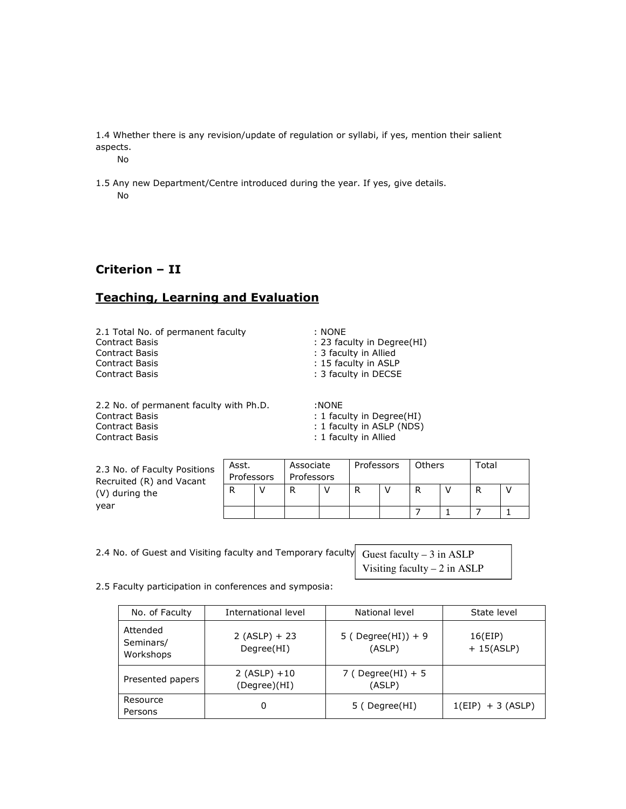1.4 Whether there is any revision/update of regulation or syllabi, if yes, mention their salient aspects.

No

1.5 Any new Department/Centre introduced during the year. If yes, give details. No

## Criterion – II

## Teaching, Learning and Evaluation

2.1 Total No. of permanent faculty : NONE<br>Contract Basis : 23 fac Contract Basis : 23 faculty in Degree(HI)<br>
Contract Basis : 23 faculty in Allied Contract Basis : 15 faculty in ASLP Contract Basis **Example 2018** 2 and 2 and 2 and 2 and 2 and 2 and 2 and 2 and 2 and 2 and 2 and 2 and 2 and 2 and 2 and 2 and 2 and 2 and 2 and 2 and 2 and 2 and 2 and 2 and 2 and 2 and 2 and 2 and 2 and 2 and 2 and 2 and

: 3 faculty in Allied

2.2 No. of permanent faculty with Ph.D. :NONE<br>Contract Basis : 1 facu Contract Basis **Contract Basis** 1 faculty in Degree(HI) **Contract Basis** 2 faculty in ASLP (NDS) Contract Basis **Exercise 2 and Secure 2 and Secure 2 and Secure 2 and Secure 2 and Secure 2 and Secure 2 and S**<br>  $\therefore$  1 faculty in Allied

: 1 faculty in Allied

| 2.3 No. of Faculty Positions<br>Recruited (R) and Vacant<br>(V) during the<br>vear | Associate<br>Asst.<br>Professors<br>Professors |  | Professors |  | <b>Others</b> |  | Total |  |   |  |
|------------------------------------------------------------------------------------|------------------------------------------------|--|------------|--|---------------|--|-------|--|---|--|
|                                                                                    |                                                |  | D          |  |               |  | D     |  | R |  |
|                                                                                    |                                                |  |            |  |               |  |       |  |   |  |

| 2.4 No. of Guest and Visiting faculty and Temporary faculty Guest faculty - 3 in ASLP |                               |
|---------------------------------------------------------------------------------------|-------------------------------|
|                                                                                       | Visiting faculty $-2$ in ASLP |

2.5 Faculty participation in conferences and symposia:

| No. of Faculty                     | International level             | National level                | State level             |
|------------------------------------|---------------------------------|-------------------------------|-------------------------|
| Attended<br>Seminars/<br>Workshops | $2 (ASLP) + 23$<br>Degree(HI)   | 5 ( Degree(HI)) + 9<br>(ASLP) | 16(EIP)<br>$+ 15(ASLP)$ |
| Presented papers                   | $2 (ASLP) + 10$<br>(Degree)(HI) | 7 ( Degree(HI) + 5<br>(ASLP)  |                         |
| Resource<br>Persons                | 0                               | 5 (Degree(HI)                 | $1(EIP) + 3(ASLP)$      |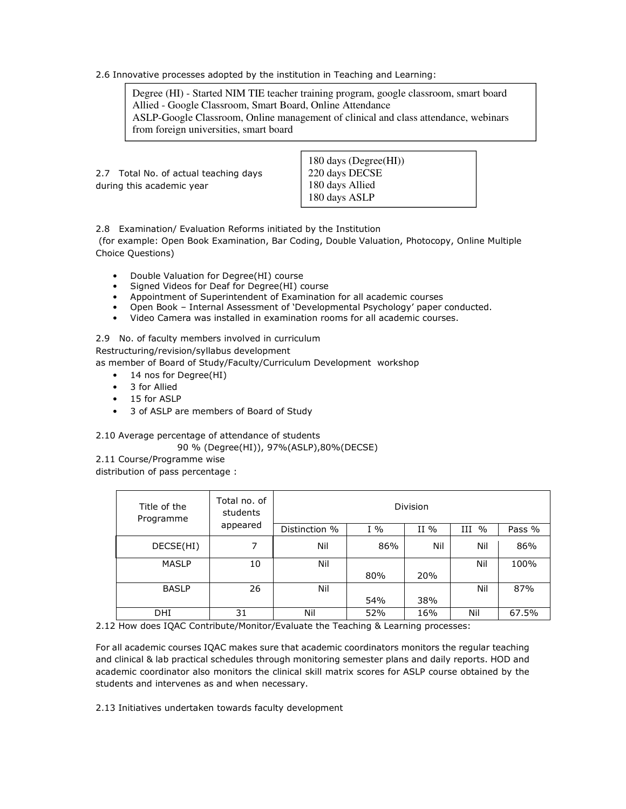2.6 Innovative processes adopted by the institution in Teaching and Learning:

Degree (HI) - Started NIM TIE teacher training program, google classroom, smart board Allied - Google Classroom, Smart Board, Online Attendance ASLP-Google Classroom, Online management of clinical and class attendance, webinars from foreign universities, smart board

|                                       | $\begin{array}{c} \text{180 days (Degree(HI))} \\ \text{220 days DECSE} \end{array}$ |
|---------------------------------------|--------------------------------------------------------------------------------------|
| 2.7 Total No. of actual teaching days |                                                                                      |
| during this academic year             | 180 days Allied                                                                      |
|                                       | 180 days ASLP                                                                        |

2.8 Examination/ Evaluation Reforms initiated by the Institution

 (for example: Open Book Examination, Bar Coding, Double Valuation, Photocopy, Online Multiple Choice Questions)

- Double Valuation for Degree(HI) course
- Signed Videos for Deaf for Degree(HI) course
- Appointment of Superintendent of Examination for all academic courses
- Open Book Internal Assessment of 'Developmental Psychology' paper conducted.<br>• Video Camera was installed in examination rooms for all academic courses.
- Video Camera was installed in examination rooms for all academic courses.

2.9 No. of faculty members involved in curriculum

Restructuring/revision/syllabus development

as member of Board of Study/Faculty/Curriculum Development workshop

- 14 nos for Degree(HI)
- 3 for Allied
- 15 for ASLP
- 3 of ASLP are members of Board of Study

2.10 Average percentage of attendance of students

90 % (Degree(HI)), 97%(ASLP),80%(DECSE)

2.11 Course/Programme wise

distribution of pass percentage :

| Title of the<br>Programme | Total no. of<br>students |               |       | <b>Division</b> |                    |        |
|---------------------------|--------------------------|---------------|-------|-----------------|--------------------|--------|
|                           | appeared                 | Distinction % | $I\%$ | II $%$          | Ш<br>$\frac{0}{0}$ | Pass % |
| DECSE(HI)                 | 7                        | Nil           | 86%   | Nil             | Nil                | 86%    |
| <b>MASLP</b>              | 10                       | Nil           |       |                 | Nil                | 100%   |
|                           |                          |               | 80%   | 20%             |                    |        |
| <b>BASLP</b>              | 26                       | Nil           |       |                 | Nil                | 87%    |
|                           |                          |               | 54%   | 38%             |                    |        |
| DHI                       | 31                       | Nil           | 52%   | 16%             | Nil                | 67.5%  |

2.12 How does IQAC Contribute/Monitor/Evaluate the Teaching & Learning processes:

For all academic courses IQAC makes sure that academic coordinators monitors the regular teaching and clinical & lab practical schedules through monitoring semester plans and daily reports. HOD and academic coordinator also monitors the clinical skill matrix scores for ASLP course obtained by the students and intervenes as and when necessary.

2.13 Initiatives undertaken towards faculty development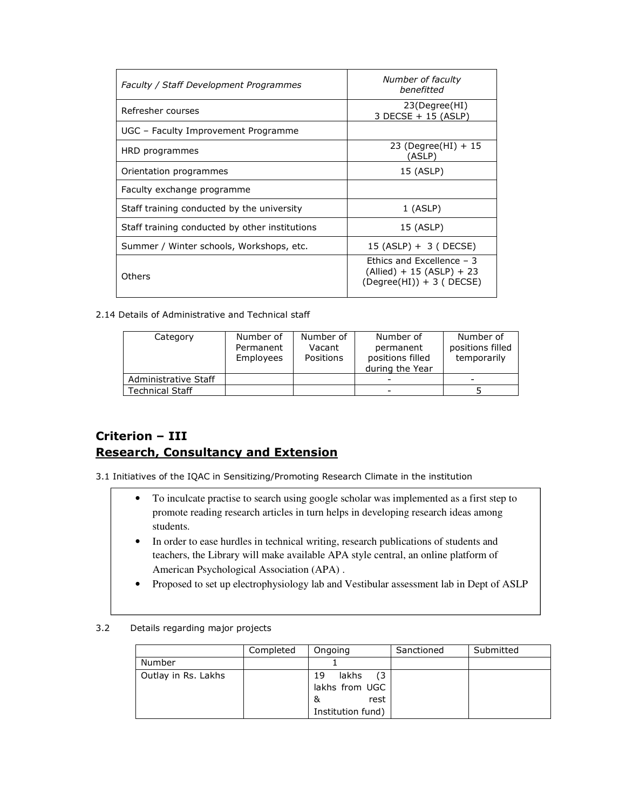| Faculty / Staff Development Programmes         | Number of faculty<br>henefitted                                                          |
|------------------------------------------------|------------------------------------------------------------------------------------------|
| Refresher courses                              | 23(Degree(HI)<br>3 DECSE + 15 (ASLP)                                                     |
| UGC - Faculty Improvement Programme            |                                                                                          |
| HRD programmes                                 | 23 (Degree(HI) $+15$<br>(ASLP)                                                           |
| Orientation programmes                         | 15 (ASLP)                                                                                |
| Faculty exchange programme                     |                                                                                          |
| Staff training conducted by the university     | $1$ (ASLP)                                                                               |
| Staff training conducted by other institutions | 15 (ASLP)                                                                                |
| Summer / Winter schools, Workshops, etc.       | 15 (ASLP) + 3 ( DECSE)                                                                   |
| Others                                         | Ethics and Excellence $-3$<br>$(Allied) + 15 (ASLP) + 23$<br>$(Degree(HI)) + 3 ( DECSE)$ |

2.14 Details of Administrative and Technical staff

| Category             | Number of<br>Permanent<br>Employees | Number of<br>Vacant<br>Positions | Number of<br>permanent<br>positions filled<br>during the Year | Number of<br>positions filled<br>temporarily |
|----------------------|-------------------------------------|----------------------------------|---------------------------------------------------------------|----------------------------------------------|
| Administrative Staff |                                     |                                  |                                                               |                                              |
| Technical Staff      |                                     |                                  |                                                               |                                              |

## Criterion – III Research, Consultancy and Extension

3.1 Initiatives of the IQAC in Sensitizing/Promoting Research Climate in the institution

- To inculcate practise to search using google scholar was implemented as a first step to promote reading research articles in turn helps in developing research ideas among students.
- In order to ease hurdles in technical writing, research publications of students and teachers, the Library will make available APA style central, an online platform of American Psychological Association (APA) .
- Proposed to set up electrophysiology lab and Vestibular assessment lab in Dept of ASLP
- 3.2 Details regarding major projects

|                     | Completed | Ongoing                                                                | Sanctioned | Submitted |
|---------------------|-----------|------------------------------------------------------------------------|------------|-----------|
| Number              |           |                                                                        |            |           |
| Outlay in Rs. Lakhs |           | (3)<br>lakhs<br>19<br>lakhs from UGC<br>rest<br>&<br>Institution fund) |            |           |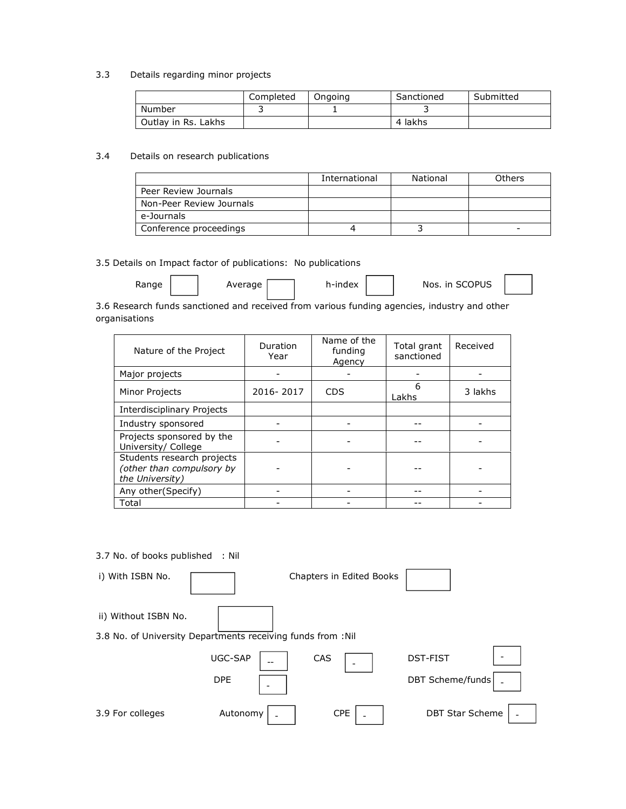### 3.3 Details regarding minor projects

|                     | Completed | Ongoing | Sanctioned | Submitted |
|---------------------|-----------|---------|------------|-----------|
| Number              |           |         |            |           |
| Outlay in Rs. Lakhs |           |         | 4 lakhs    |           |

### 3.4 Details on research publications

|                          | International | National | Others |
|--------------------------|---------------|----------|--------|
| Peer Review Journals     |               |          |        |
| Non-Peer Review Journals |               |          |        |
| e-Journals               |               |          |        |
| Conference proceedings   |               |          |        |

### 3.5 Details on Impact factor of publications: No publications

| Range | Average | h-index | Nos. in SCOPUS |  |
|-------|---------|---------|----------------|--|
|-------|---------|---------|----------------|--|

3.6 Research funds sanctioned and received from various funding agencies, industry and other organisations

| Nature of the Project                                                      | Duration<br>Year | Name of the<br>funding<br>Agency | Total grant<br>sanctioned | Received |
|----------------------------------------------------------------------------|------------------|----------------------------------|---------------------------|----------|
| Major projects                                                             |                  |                                  |                           |          |
| <b>Minor Projects</b>                                                      | 2016-2017        | <b>CDS</b>                       | 6<br>Lakhs                | 3 lakhs  |
| Interdisciplinary Projects                                                 |                  |                                  |                           |          |
| Industry sponsored                                                         |                  |                                  |                           |          |
| Projects sponsored by the<br>University/ College                           |                  |                                  |                           |          |
| Students research projects<br>(other than compulsory by<br>the University) |                  |                                  |                           |          |
| Any other(Specify)                                                         |                  |                                  |                           |          |
| Total                                                                      |                  |                                  |                           |          |

### 3.7 No. of books published : Nil

| i) With ISBN No.     |                                                              | Chapters in Edited Books |                                            |
|----------------------|--------------------------------------------------------------|--------------------------|--------------------------------------------|
| ii) Without ISBN No. | 3.8 No. of University Departments receiving funds from : Nil |                          |                                            |
|                      | UGC-SAP<br><b>DPE</b>                                        | CAS                      | <b>DST-FIST</b><br><b>DBT Scheme/funds</b> |
| 3.9 For colleges     | Autonomy                                                     | <b>CPE</b>               | <b>DBT Star Scheme</b>                     |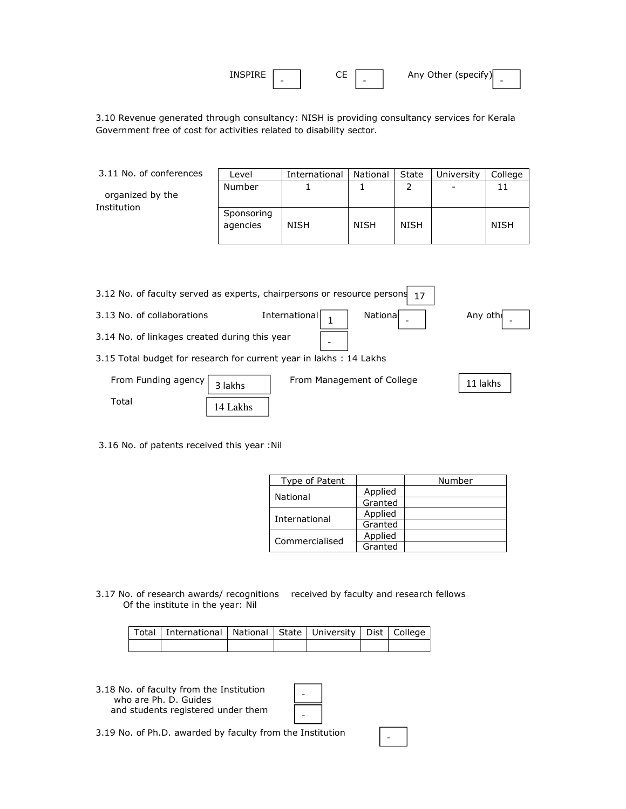| TNSL.<br>--<br>- | --<br>ີ<br>- | (specify)<br>Any Other ( |  |
|------------------|--------------|--------------------------|--|
|------------------|--------------|--------------------------|--|

3.10 Revenue generated through consultancy: NISH is providing consultancy services for Kerala Government free of cost for activities related to disability sector.

| 3.11 No. of conferences | Level                  | International | National    | State       | University | College     |
|-------------------------|------------------------|---------------|-------------|-------------|------------|-------------|
| organized by the        | Number                 |               |             |             |            | 11          |
| Institution             | Sponsoring<br>agencies | <b>NISH</b>   | <b>NISH</b> | <b>NISH</b> |            | <b>NISH</b> |

| 3.12 No. of faculty served as experts, chairpersons or resource persons<br>17 |          |                                  |          |  |  |  |  |  |
|-------------------------------------------------------------------------------|----------|----------------------------------|----------|--|--|--|--|--|
| 3.13 No. of collaborations                                                    |          | International<br><b>National</b> | Any oth  |  |  |  |  |  |
| 3.14 No. of linkages created during this year<br>$\overline{\phantom{0}}$     |          |                                  |          |  |  |  |  |  |
| 3.15 Total budget for research for current year in lakhs : 14 Lakhs           |          |                                  |          |  |  |  |  |  |
| From Funding agency                                                           | 3 lakhs  | From Management of College       | 11 lakhs |  |  |  |  |  |
| Total                                                                         | 14 Lakhs |                                  |          |  |  |  |  |  |

3.16 No. of patents received this year :Nil

| Type of Patent |         | Number |
|----------------|---------|--------|
| National       | Applied |        |
|                | Granted |        |
| International  | Applied |        |
|                | Granted |        |
| Commercialised | Applied |        |
|                | Granted |        |

-

3.17 No. of research awards/ recognitions received by faculty and research fellows Of the institute in the year: Nil

| Total   International   National   State   University   Dist   College |  |  |  |
|------------------------------------------------------------------------|--|--|--|
|                                                                        |  |  |  |

3.18 No. of faculty from the Institution who are Ph. D. Guides and students registered under them

3.19 No. of Ph.D. awarded by faculty from the Institution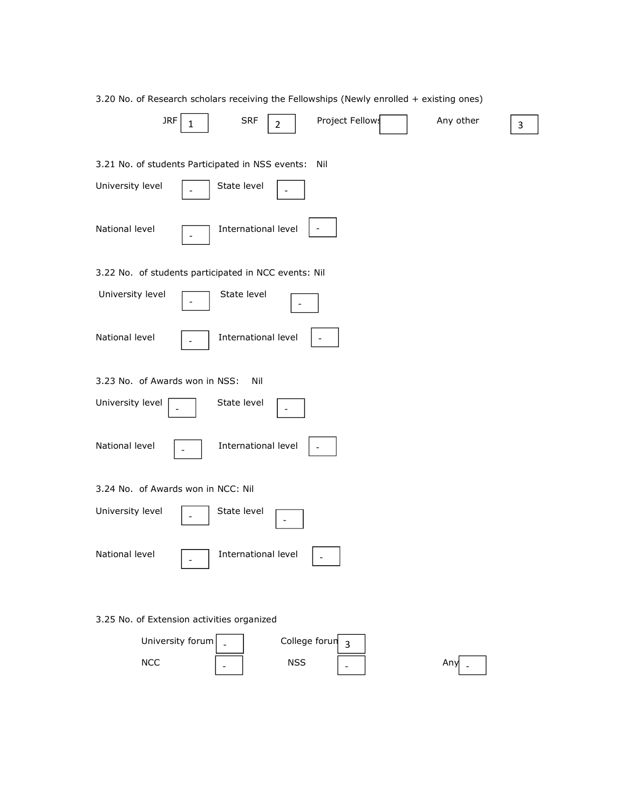|                                                  | 3.20 No. of Research scholars receiving the Fellowships (Newly enrolled + existing ones) |
|--------------------------------------------------|------------------------------------------------------------------------------------------|
| <b>JRF</b><br>1                                  | <b>SRF</b><br><b>Project Fellows</b><br>Any other<br>$\overline{2}$<br>3                 |
| 3.21 No. of students Participated in NSS events: | Nil                                                                                      |
| University level                                 | State level                                                                              |
| National level                                   | International level                                                                      |
|                                                  | 3.22 No. of students participated in NCC events: Nil                                     |
| University level                                 | State level                                                                              |
| National level                                   | International level                                                                      |
| 3.23 No. of Awards won in NSS:                   | Nil                                                                                      |
| University level                                 | State level                                                                              |
| National level                                   | International level                                                                      |
| 3.24 No. of Awards won in NCC: Nil               |                                                                                          |
| University level                                 | State level                                                                              |
| National level                                   | International level                                                                      |
| 3.25 No. of Extension activities organized       |                                                                                          |
| University forum                                 | College forun<br>3                                                                       |

 $NCC$   $\Big|$   $\Big|$   $\Big|$   $\Big|$   $\Big|$   $\Big|$   $\Big|$   $\Big|$   $\Big|$   $\Big|$   $\Big|$   $\Big|$   $\Big|$   $\Big|$   $\Big|$   $\Big|$   $\Big|$   $\Big|$   $\Big|$   $\Big|$   $\Big|$   $\Big|$   $\Big|$   $\Big|$   $\Big|$   $\Big|$   $\Big|$   $\Big|$   $\Big|$   $\Big|$   $\Big|$   $\Big|$   $\Big|$   $\Big|$   $\Big|$   $\Big|$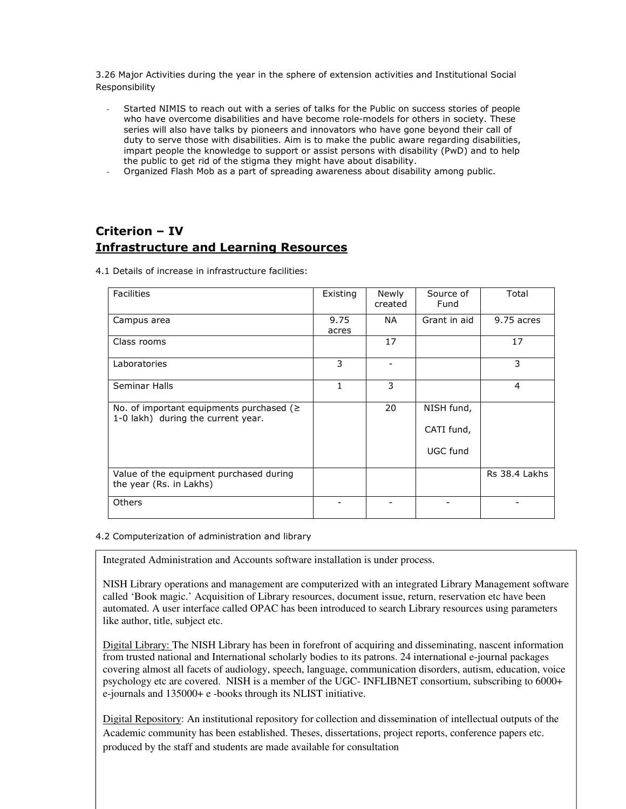3.26 Major Activities during the year in the sphere of extension activities and Institutional Social Responsibility

- Started NIMIS to reach out with a series of talks for the Public on success stories of people who have overcome disabilities and have become role-models for others in society. These series will also have talks by pioneers and innovators who have gone beyond their call of duty to serve those with disabilities. Aim is to make the public aware regarding disabilities, impart people the knowledge to support or assist persons with disability (PwD) and to help the public to get rid of the stigma they might have about disability.
- Organized Flash Mob as a part of spreading awareness about disability among public.

## Criterion – IV Infrastructure and Learning Resources

4.1 Details of increase in infrastructure facilities:

| <b>Facilities</b>                                                                    | Existing      | Newly<br>created | Source of<br>Fund        | Total          |
|--------------------------------------------------------------------------------------|---------------|------------------|--------------------------|----------------|
| Campus area                                                                          | 9.75<br>acres | NA.              | Grant in aid             | 9.75 acres     |
| Class rooms                                                                          |               | 17               |                          | 17             |
| Laboratories                                                                         | 3             |                  |                          | 3              |
| Seminar Halls                                                                        | 1             | 3                |                          | $\overline{4}$ |
| No. of important equipments purchased ( $\geq$<br>1-0 lakh) during the current year. |               | 20               | NISH fund,<br>CATI fund, |                |
|                                                                                      |               |                  | UGC fund                 |                |
| Value of the equipment purchased during<br>the year (Rs. in Lakhs)                   |               |                  |                          | Rs 38.4 Lakhs  |
| <b>Others</b>                                                                        |               |                  |                          |                |

### 4.2 Computerization of administration and library

Integrated Administration and Accounts software installation is under process.

NISH Library operations and management are computerized with an integrated Library Management software called 'Book magic.' Acquisition of Library resources, document issue, return, reservation etc have been automated. A user interface called OPAC has been introduced to search Library resources using parameters like author, title, subject etc.

Digital Library: The NISH Library has been in forefront of acquiring and disseminating, nascent information from trusted national and International scholarly bodies to its patrons. 24 international e-journal packages covering almost all facets of audiology, speech, language, communication disorders, autism, education, voice psychology etc are covered. NISH is a member of the UGC- INFLIBNET consortium, subscribing to 6000+ e-journals and 135000+ e -books through its NLIST initiative.

Digital Repository: An institutional repository for collection and dissemination of intellectual outputs of the Academic community has been established. Theses, dissertations, project reports, conference papers etc. produced by the staff and students are made available for consultation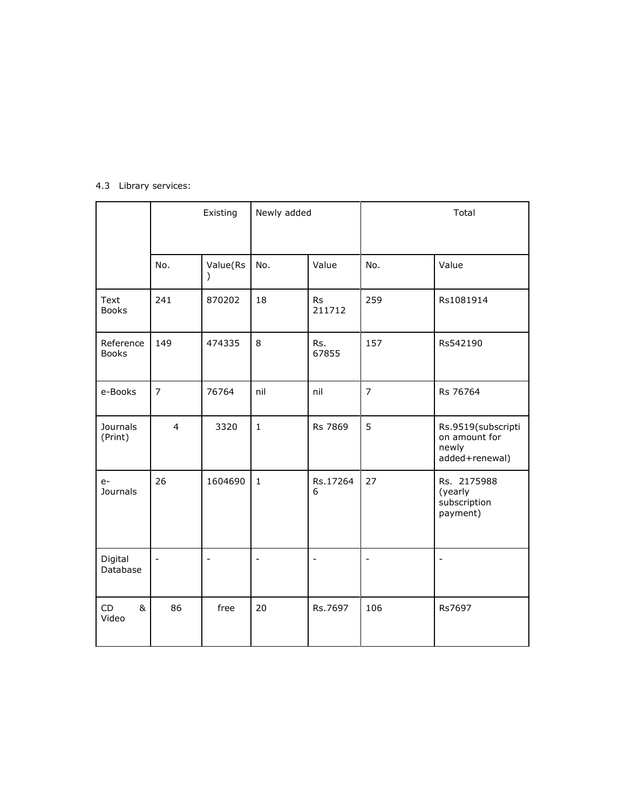|                            |                | Existing              | Newly added              |                          |                          | Total                                                          |
|----------------------------|----------------|-----------------------|--------------------------|--------------------------|--------------------------|----------------------------------------------------------------|
|                            | No.            | Value(Rs<br>$\lambda$ | No.                      | Value                    | No.                      | Value                                                          |
| Text<br><b>Books</b>       | 241            | 870202                | 18                       | <b>Rs</b><br>211712      | 259                      | Rs1081914                                                      |
| Reference<br><b>Books</b>  | 149            | 474335                | 8                        | Rs.<br>67855             | 157                      | Rs542190                                                       |
| e-Books                    | $\overline{7}$ | 76764                 | nil                      | nil                      | $\overline{7}$           | Rs 76764                                                       |
| <b>Journals</b><br>(Print) | $\overline{4}$ | 3320                  | $\mathbf 1$              | Rs 7869                  | 5                        | Rs.9519(subscripti<br>on amount for<br>newly<br>added+renewal) |
| $e-$<br><b>Journals</b>    | 26             | 1604690               | $\mathbf{1}$             | Rs.17264<br>6            | 27                       | Rs. 2175988<br>(yearly<br>subscription<br>payment)             |
| Digital<br>Database        | $\blacksquare$ | $\qquad \qquad -$     | $\overline{\phantom{m}}$ | $\overline{\phantom{a}}$ | $\overline{\phantom{a}}$ | $\overline{\phantom{m}}$                                       |
| <b>CD</b><br>&<br>Video    | 86             | free                  | 20                       | Rs.7697                  | 106                      | Rs7697                                                         |

## 4.3 Library services: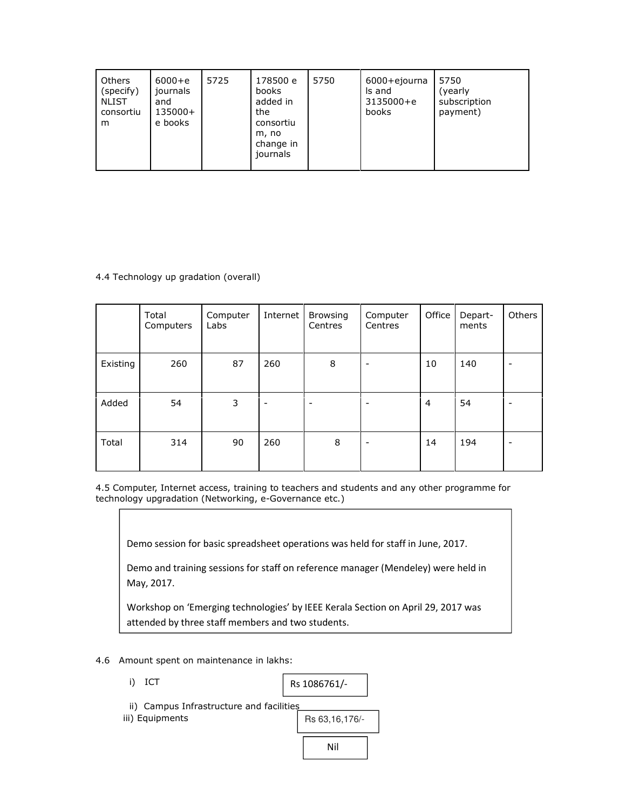| <b>Others</b><br>(specify)<br><b>NLIST</b><br>consortiu<br>m | $6000 + e$<br>journals<br>and<br>135000+<br>e books | 5725 | 178500 e<br>books<br>added in<br>the<br>consortiu<br>m, no<br>change in<br>journals | 5750 | 6000+ejourna<br>Is and<br>3135000+e<br>books | 5750<br>(yearly<br>subscription<br>payment) |
|--------------------------------------------------------------|-----------------------------------------------------|------|-------------------------------------------------------------------------------------|------|----------------------------------------------|---------------------------------------------|
|                                                              |                                                     |      |                                                                                     |      |                                              |                                             |

### 4.4 Technology up gradation (overall)

|          | Total<br>Computers | Computer<br>Labs | Internet                 | <b>Browsing</b><br>Centres | Computer<br>Centres      | Office         | Depart-<br>ments | Others |
|----------|--------------------|------------------|--------------------------|----------------------------|--------------------------|----------------|------------------|--------|
| Existing | 260                | 87               | 260                      | 8                          | $\overline{\phantom{a}}$ | 10             | 140              |        |
| Added    | 54                 | 3                | $\overline{\phantom{a}}$ |                            | $\overline{\phantom{a}}$ | $\overline{4}$ | 54               |        |
| Total    | 314                | 90               | 260                      | 8                          | $\blacksquare$           | 14             | 194              |        |

4.5 Computer, Internet access, training to teachers and students and any other programme for technology upgradation (Networking, e-Governance etc.)

Demo session for basic spreadsheet operations was held for staff in June, 2017.

Demo and training sessions for staff on reference manager (Mendeley) were held in May, 2017.

Workshop on 'Emerging technologies' by IEEE Kerala Section on April 29, 2017 was attended by three staff members and two students.

- 4.6 Amount spent on maintenance in lakhs:
	- i) ICT

Rs 1086761/-

ii) Campus Infrastructure and facilities

iii) Equipments

Rs 63,16,176/-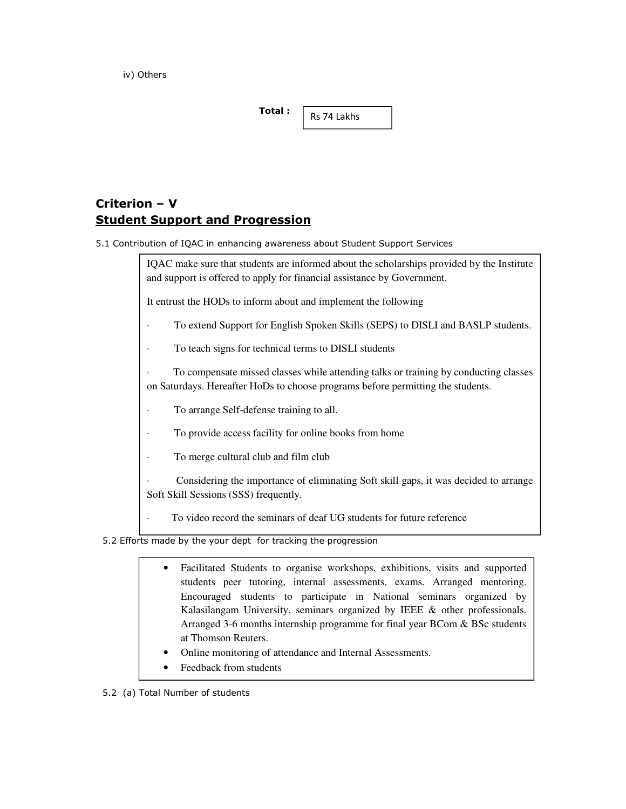iv) Others

| Total: |             |
|--------|-------------|
|        | Rs 74 Lakhs |

## Criterion – V Student Support and Progression

5.1 Contribution of IQAC in enhancing awareness about Student Support Services

IQAC make sure that students are informed about the scholarships provided by the Institute and support is offered to apply for financial assistance by Government.

It entrust the HODs to inform about and implement the following

To extend Support for English Spoken Skills (SEPS) to DISLI and BASLP students.

To teach signs for technical terms to DISLI students

· To compensate missed classes while attending talks or training by conducting classes on Saturdays. Hereafter HoDs to choose programs before permitting the students.

To arrange Self-defense training to all.

To provide access facility for online books from home

To merge cultural club and film club

Considering the importance of eliminating Soft skill gaps, it was decided to arrange Soft Skill Sessions (SSS) frequently.

· To video record the seminars of deaf UG students for future reference

5.2 Efforts made by the your dept for tracking the progression

- Facilitated Students to organise workshops, exhibitions, visits and supported students peer tutoring, internal assessments, exams. Arranged mentoring. Encouraged students to participate in National seminars organized by Kalasilangam University, seminars organized by IEEE & other professionals. Arranged 3-6 months internship programme for final year BCom & BSc students at Thomson Reuters.
- Online monitoring of attendance and Internal Assessments.
- Feedback from students

5.2 (a) Total Number of students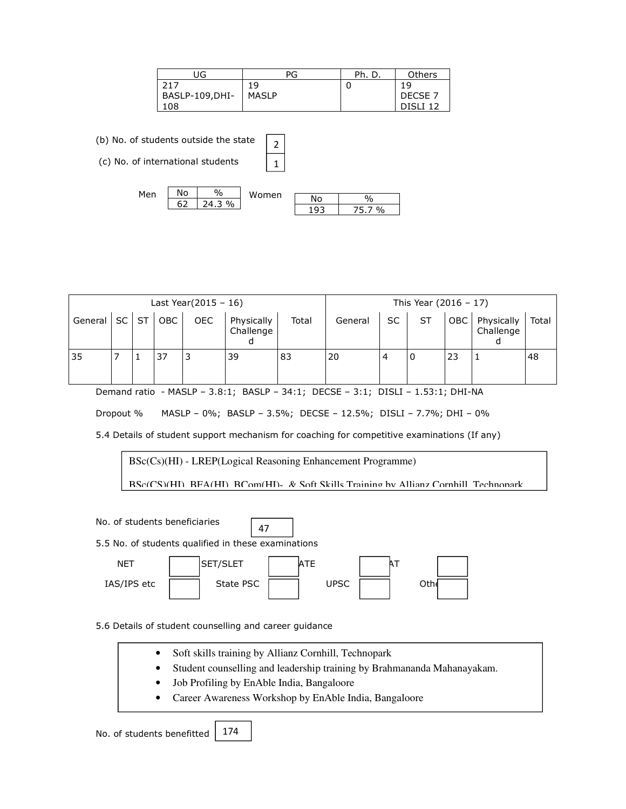| UG             | PG           | Ph. D. | Others              |
|----------------|--------------|--------|---------------------|
| 217            | 19           |        | 19                  |
| BASLP-109,DHI- | <b>MASLP</b> |        | DECSE 7             |
| 108            |              |        | DISLI <sub>12</sub> |

(b) No. of students outside the state

(c) No. of international students



2 1

| Last Year( $2015 - 16$ ) |           |           |            |            |                         | This Year $(2016 - 17)$ |         |           |    |     |                         |       |
|--------------------------|-----------|-----------|------------|------------|-------------------------|-------------------------|---------|-----------|----|-----|-------------------------|-------|
| General                  | <b>SC</b> | <b>ST</b> | <b>OBC</b> | <b>OEC</b> | Physically<br>Challenge | Total                   | General | <b>SC</b> | ST | OBC | Physically<br>Challenge | Total |
| 35                       |           |           | 37         | 3          | 39                      | 83                      | 20      | 4         | 0  | 23  |                         | 48    |

Demand ratio - MASLP – 3.8:1; BASLP – 34:1; DECSE – 3:1; DISLI – 1.53:1; DHI-NA

Dropout % MASLP – 0%; BASLP – 3.5%; DECSE – 12.5%; DISLI – 7.7%; DHI – 0%

5.4 Details of student support mechanism for coaching for competitive examinations (If any)

BSc(Cs)(HI) - LREP(Logical Reasoning Enhancement Programme)

47

BSc(CS)(HI), BFA(HI), BCom(HI)- & Soft Skills Training by Allianz Cornhill, Technopark

No. of students beneficiaries

5.5 No. of students qualified in these examinations



5.6 Details of student counselling and career guidance

- Soft skills training by Allianz Cornhill, Technopark
- Student counselling and leadership training by Brahmananda Mahanayakam.
- Job Profiling by EnAble India, Bangaloore
- Career Awareness Workshop by EnAble India, Bangaloore

No. of students benefitted 174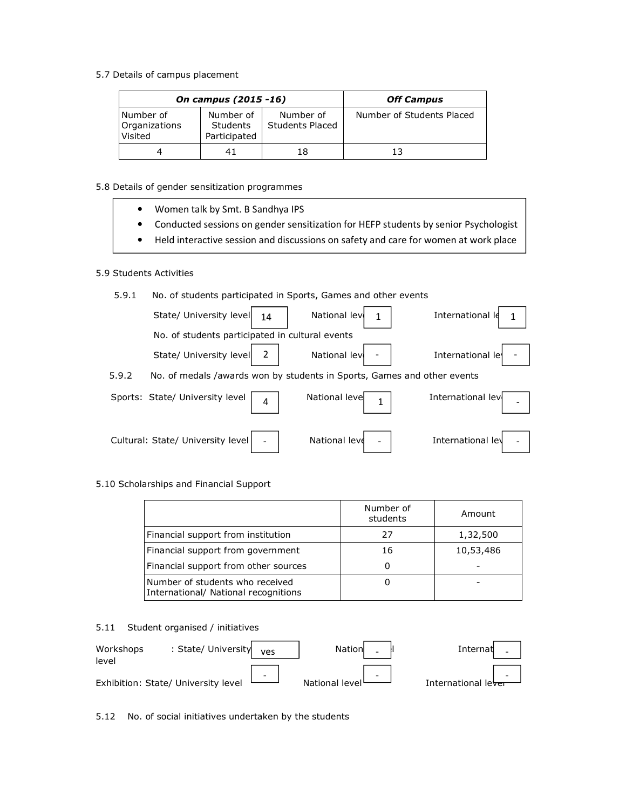5.7 Details of campus placement

|                                       | On campus (2015 -16)                         | <b>Off Campus</b>                   |                           |
|---------------------------------------|----------------------------------------------|-------------------------------------|---------------------------|
| Number of<br>Organizations<br>Visited | Number of<br><b>Students</b><br>Participated | Number of<br><b>Students Placed</b> | Number of Students Placed |
|                                       | 41                                           | 18                                  | 13                        |

5.8 Details of gender sensitization programmes

| Women talk by Smt. B Sandhya IPS |  |  |
|----------------------------------|--|--|
|                                  |  |  |

- Conducted sessions on gender sensitization for HEFP students by senior Psychologist
- Held interactive session and discussions on safety and care for women at work place

### 5.9 Students Activities

5.9.1 No. of students participated in Sports, Games and other events

| State/ University level<br>14                                                    | National lev  | International le  |
|----------------------------------------------------------------------------------|---------------|-------------------|
| No. of students participated in cultural events                                  |               |                   |
| State/ University level                                                          | National lev  | International le  |
| 5.9.2<br>No. of medals /awards won by students in Sports, Games and other events |               |                   |
| Sports: State/ University level<br>$\overline{4}$                                | National leve | International lev |
| Cultural: State/ University level                                                | National leve | International lev |

## 5.10 Scholarships and Financial Support

|                                                                         | Number of<br>students | Amount    |
|-------------------------------------------------------------------------|-----------------------|-----------|
| Financial support from institution                                      | 27                    | 1,32,500  |
| Financial support from government                                       | 16                    | 10,53,486 |
| Financial support from other sources                                    | 0                     |           |
| Number of students who received<br>International/ National recognitions |                       |           |

### 5.11 Student organised / initiatives

| Workshops<br>level | : State/ University                 | <b>Ves</b>               | Nationl        |                          | Internat            |  |
|--------------------|-------------------------------------|--------------------------|----------------|--------------------------|---------------------|--|
|                    | Exhibition: State/ University level | $\overline{\phantom{a}}$ | National level | $\overline{\phantom{0}}$ | International lever |  |

5.12 No. of social initiatives undertaken by the students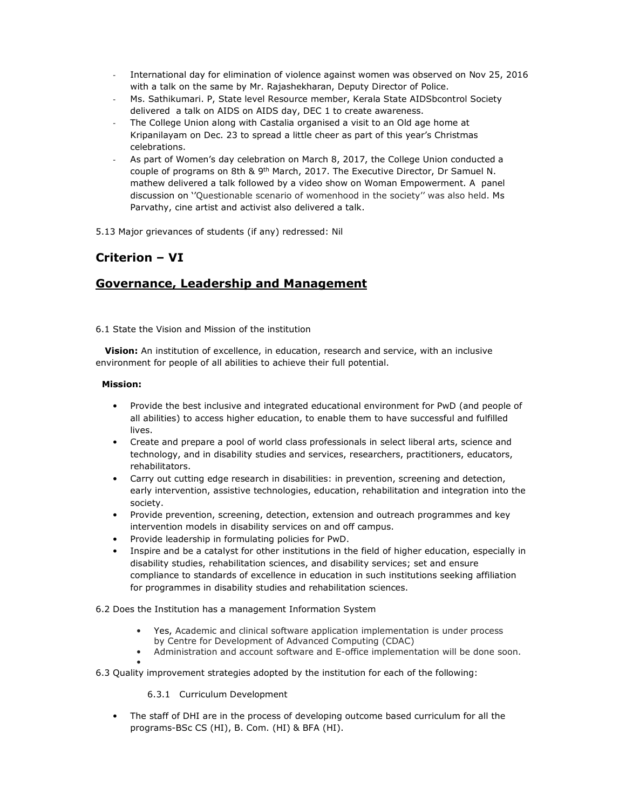- International day for elimination of violence against women was observed on Nov 25, 2016 with a talk on the same by Mr. Rajashekharan, Deputy Director of Police.
- Ms. Sathikumari. P, State level Resource member, Kerala State AIDSbcontrol Society delivered a talk on AIDS on AIDS day, DEC 1 to create awareness.
- The College Union along with Castalia organised a visit to an Old age home at Kripanilayam on Dec. 23 to spread a little cheer as part of this year's Christmas celebrations.
- As part of Women's day celebration on March 8, 2017, the College Union conducted a couple of programs on 8th & 9th March, 2017. The Executive Director, Dr Samuel N. mathew delivered a talk followed by a video show on Woman Empowerment. A panel discussion on ''Questionable scenario of womenhood in the society'' was also held. Ms Parvathy, cine artist and activist also delivered a talk.
- 5.13 Major grievances of students (if any) redressed: Nil

## Criterion – VI

## Governance, Leadership and Management

6.1 State the Vision and Mission of the institution

Vision: An institution of excellence, in education, research and service, with an inclusive environment for people of all abilities to achieve their full potential.

### Mission:

- Provide the best inclusive and integrated educational environment for PwD (and people of all abilities) to access higher education, to enable them to have successful and fulfilled lives.
- Create and prepare a pool of world class professionals in select liberal arts, science and technology, and in disability studies and services, researchers, practitioners, educators, rehabilitators.
- Carry out cutting edge research in disabilities: in prevention, screening and detection, early intervention, assistive technologies, education, rehabilitation and integration into the society.
- Provide prevention, screening, detection, extension and outreach programmes and key intervention models in disability services on and off campus.
- Provide leadership in formulating policies for PwD.
- Inspire and be a catalyst for other institutions in the field of higher education, especially in disability studies, rehabilitation sciences, and disability services; set and ensure compliance to standards of excellence in education in such institutions seeking affiliation for programmes in disability studies and rehabilitation sciences.

6.2 Does the Institution has a management Information System

- Yes, Academic and clinical software application implementation is under process by Centre for Development of Advanced Computing (CDAC)
- Administration and account software and E-office implementation will be done soon. •

6.3 Quality improvement strategies adopted by the institution for each of the following:

6.3.1 Curriculum Development

• The staff of DHI are in the process of developing outcome based curriculum for all the programs-BSc CS (HI), B. Com. (HI) & BFA (HI).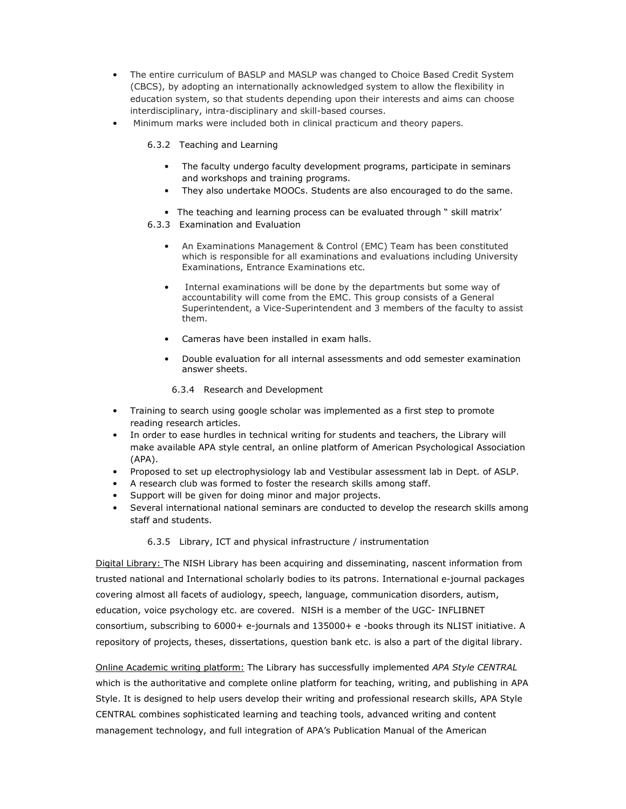- The entire curriculum of BASLP and MASLP was changed to Choice Based Credit System (CBCS), by adopting an internationally acknowledged system to allow the flexibility in education system, so that students depending upon their interests and aims can choose interdisciplinary, intra-disciplinary and skill-based courses.
- Minimum marks were included both in clinical practicum and theory papers.
	- 6.3.2 Teaching and Learning
		- The faculty undergo faculty development programs, participate in seminars and workshops and training programs.
		- They also undertake MOOCs. Students are also encouraged to do the same.
		- The teaching and learning process can be evaluated through " skill matrix'
	- 6.3.3 Examination and Evaluation
		- An Examinations Management & Control (EMC) Team has been constituted which is responsible for all examinations and evaluations including University Examinations, Entrance Examinations etc.
		- Internal examinations will be done by the departments but some way of accountability will come from the EMC. This group consists of a General Superintendent, a Vice-Superintendent and 3 members of the faculty to assist them.
		- Cameras have been installed in exam halls.
		- Double evaluation for all internal assessments and odd semester examination answer sheets.
			- 6.3.4 Research and Development
- Training to search using google scholar was implemented as a first step to promote reading research articles.
- In order to ease hurdles in technical writing for students and teachers, the Library will make available APA style central, an online platform of American Psychological Association (APA).
- Proposed to set up electrophysiology lab and Vestibular assessment lab in Dept. of ASLP.
- A research club was formed to foster the research skills among staff.
- Support will be given for doing minor and major projects.
- Several international national seminars are conducted to develop the research skills among staff and students.

### 6.3.5 Library, ICT and physical infrastructure / instrumentation

Digital Library: The NISH Library has been acquiring and disseminating, nascent information from trusted national and International scholarly bodies to its patrons. International e-journal packages covering almost all facets of audiology, speech, language, communication disorders, autism, education, voice psychology etc. are covered. NISH is a member of the UGC- INFLIBNET consortium, subscribing to 6000+ e-journals and 135000+ e -books through its NLIST initiative. A repository of projects, theses, dissertations, question bank etc. is also a part of the digital library.

Online Academic writing platform: The Library has successfully implemented APA Style CENTRAL which is the authoritative and complete online platform for teaching, writing, and publishing in APA Style. It is designed to help users develop their writing and professional research skills, APA Style CENTRAL combines sophisticated learning and teaching tools, advanced writing and content management technology, and full integration of APA's Publication Manual of the American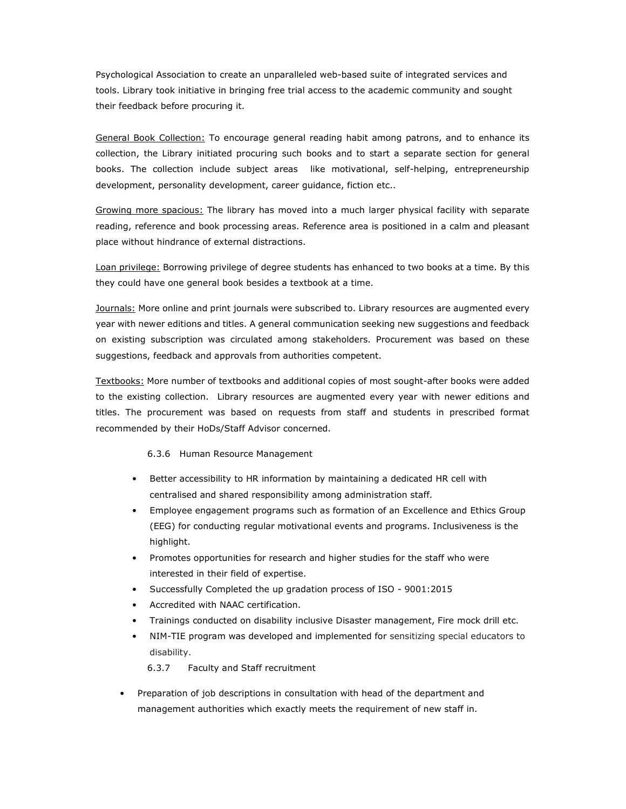Psychological Association to create an unparalleled web-based suite of integrated services and tools. Library took initiative in bringing free trial access to the academic community and sought their feedback before procuring it.

General Book Collection: To encourage general reading habit among patrons, and to enhance its collection, the Library initiated procuring such books and to start a separate section for general books. The collection include subject areas like motivational, self-helping, entrepreneurship development, personality development, career guidance, fiction etc..

Growing more spacious: The library has moved into a much larger physical facility with separate reading, reference and book processing areas. Reference area is positioned in a calm and pleasant place without hindrance of external distractions.

Loan privilege: Borrowing privilege of degree students has enhanced to two books at a time. By this they could have one general book besides a textbook at a time.

Journals: More online and print journals were subscribed to. Library resources are augmented every year with newer editions and titles. A general communication seeking new suggestions and feedback on existing subscription was circulated among stakeholders. Procurement was based on these suggestions, feedback and approvals from authorities competent.

Textbooks: More number of textbooks and additional copies of most sought-after books were added to the existing collection. Library resources are augmented every year with newer editions and titles. The procurement was based on requests from staff and students in prescribed format recommended by their HoDs/Staff Advisor concerned.

#### 6.3.6 Human Resource Management

- Better accessibility to HR information by maintaining a dedicated HR cell with centralised and shared responsibility among administration staff.
- Employee engagement programs such as formation of an Excellence and Ethics Group (EEG) for conducting regular motivational events and programs. Inclusiveness is the highlight.
- Promotes opportunities for research and higher studies for the staff who were interested in their field of expertise.
- Successfully Completed the up gradation process of ISO 9001:2015
- Accredited with NAAC certification.
- Trainings conducted on disability inclusive Disaster management, Fire mock drill etc.
- NIM-TIE program was developed and implemented for sensitizing special educators to disability.

6.3.7 Faculty and Staff recruitment

• Preparation of job descriptions in consultation with head of the department and management authorities which exactly meets the requirement of new staff in.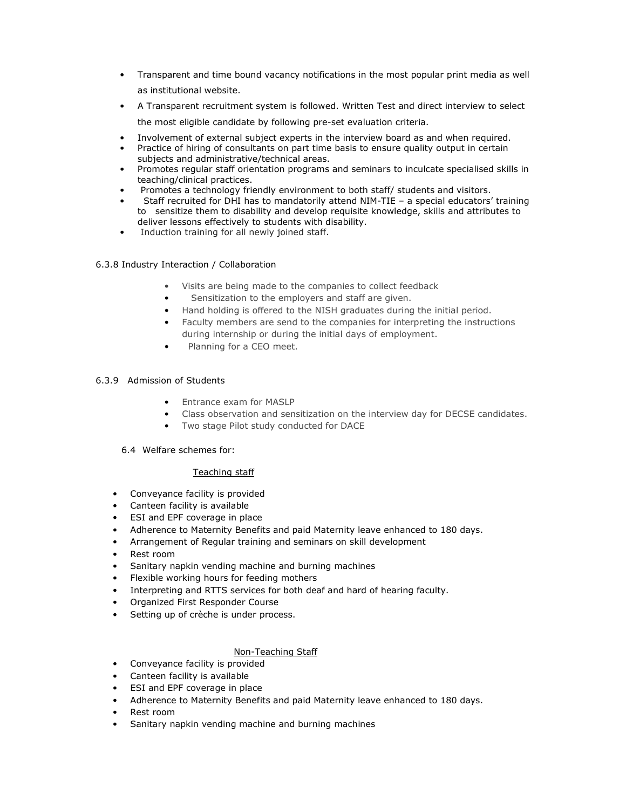- Transparent and time bound vacancy notifications in the most popular print media as well as institutional website.
- A Transparent recruitment system is followed. Written Test and direct interview to select the most eligible candidate by following pre-set evaluation criteria.
- Involvement of external subject experts in the interview board as and when required.
- Practice of hiring of consultants on part time basis to ensure quality output in certain subjects and administrative/technical areas.
- Promotes regular staff orientation programs and seminars to inculcate specialised skills in teaching/clinical practices.
- Promotes a technology friendly environment to both staff/ students and visitors.
- Staff recruited for DHI has to mandatorily attend NIM-TIE a special educators' training to sensitize them to disability and develop requisite knowledge, skills and attributes to deliver lessons effectively to students with disability.
- Induction training for all newly joined staff.

### 6.3.8 Industry Interaction / Collaboration

- Visits are being made to the companies to collect feedback
- Sensitization to the employers and staff are given.
- Hand holding is offered to the NISH graduates during the initial period.
- Faculty members are send to the companies for interpreting the instructions during internship or during the initial days of employment.
- Planning for a CEO meet.

### 6.3.9 Admission of Students

- Entrance exam for MASLP
- Class observation and sensitization on the interview day for DECSE candidates.
- Two stage Pilot study conducted for DACE
- 6.4 Welfare schemes for:

### Teaching staff

- Conveyance facility is provided
- Canteen facility is available
- ESI and EPF coverage in place
- Adherence to Maternity Benefits and paid Maternity leave enhanced to 180 days.
- Arrangement of Regular training and seminars on skill development
- Rest room
- Sanitary napkin vending machine and burning machines
- Flexible working hours for feeding mothers
- Interpreting and RTTS services for both deaf and hard of hearing faculty.
- Organized First Responder Course
- Setting up of crèche is under process.

### Non-Teaching Staff

- Conveyance facility is provided
- Canteen facility is available
- ESI and EPF coverage in place
- Adherence to Maternity Benefits and paid Maternity leave enhanced to 180 days.
- Rest room
- Sanitary napkin vending machine and burning machines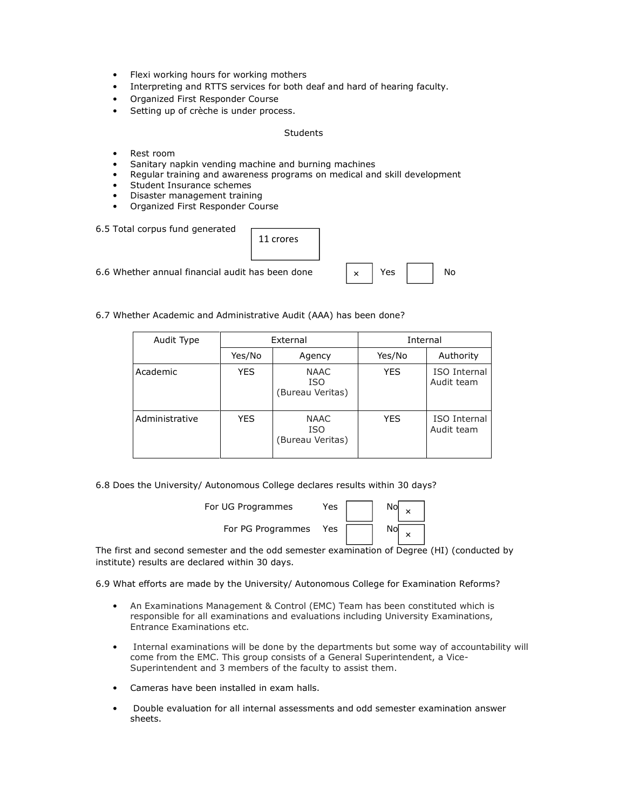- Flexi working hours for working mothers
- Interpreting and RTTS services for both deaf and hard of hearing faculty.
- Organized First Responder Course
- Setting up of crèche is under process.

#### Students

- Rest room
- Sanitary napkin vending machine and burning machines
- Regular training and awareness programs on medical and skill development
- Student Insurance schemes
- Disaster management training
- Organized First Responder Course

| 6.5 Total corpus fund generated                  | 11 crores |          |     |     |
|--------------------------------------------------|-----------|----------|-----|-----|
| 6.6 Whether annual financial audit has been done |           | $\times$ | Yes | No. |

6.7 Whether Academic and Administrative Audit (AAA) has been done?

| Audit Type     | External |                                               | Internal   |                            |
|----------------|----------|-----------------------------------------------|------------|----------------------------|
|                | Yes/No   | Agency                                        | Yes/No     | Authority                  |
| Academic       | YES.     | <b>NAAC</b><br><b>ISO</b><br>(Bureau Veritas) | <b>YES</b> | ISO Internal<br>Audit team |
| Administrative | YES      | <b>NAAC</b><br><b>ISO</b><br>(Bureau Veritas) | <b>YES</b> | ISO Internal<br>Audit team |

6.8 Does the University/ Autonomous College declares results within 30 days?

| For UG Programmes | Yes |  |
|-------------------|-----|--|
| For PG Programmes | Yes |  |

The first and second semester and the odd semester examination of Degree (HI) (conducted by institute) results are declared within 30 days.

6.9 What efforts are made by the University/ Autonomous College for Examination Reforms?

- An Examinations Management & Control (EMC) Team has been constituted which is responsible for all examinations and evaluations including University Examinations, Entrance Examinations etc.
- Internal examinations will be done by the departments but some way of accountability will come from the EMC. This group consists of a General Superintendent, a Vice-Superintendent and 3 members of the faculty to assist them.
- Cameras have been installed in exam halls.
- Double evaluation for all internal assessments and odd semester examination answer sheets.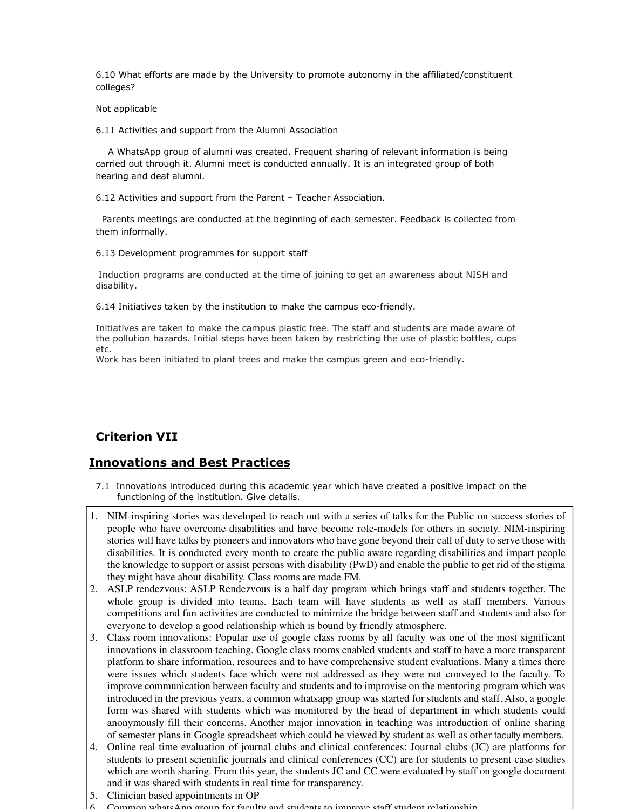6.10 What efforts are made by the University to promote autonomy in the affiliated/constituent colleges?

Not applicable

6.11 Activities and support from the Alumni Association

 A WhatsApp group of alumni was created. Frequent sharing of relevant information is being carried out through it. Alumni meet is conducted annually. It is an integrated group of both hearing and deaf alumni.

6.12 Activities and support from the Parent – Teacher Association.

 Parents meetings are conducted at the beginning of each semester. Feedback is collected from them informally.

6.13 Development programmes for support staff

 Induction programs are conducted at the time of joining to get an awareness about NISH and disability.

6.14 Initiatives taken by the institution to make the campus eco-friendly.

Initiatives are taken to make the campus plastic free. The staff and students are made aware of the pollution hazards. Initial steps have been taken by restricting the use of plastic bottles, cups etc.

Work has been initiated to plant trees and make the campus green and eco-friendly.

## Criterion VII

## Innovations and Best Practices

- 7.1 Innovations introduced during this academic year which have created a positive impact on the functioning of the institution. Give details.
- 1. NIM-inspiring stories was developed to reach out with a series of talks for the Public on success stories of people who have overcome disabilities and have become role-models for others in society. NIM-inspiring stories will have talks by pioneers and innovators who have gone beyond their call of duty to serve those with disabilities. It is conducted every month to create the public aware regarding disabilities and impart people the knowledge to support or assist persons with disability (PwD) and enable the public to get rid of the stigma they might have about disability. Class rooms are made FM.
- 2. ASLP rendezvous: ASLP Rendezvous is a half day program which brings staff and students together. The whole group is divided into teams. Each team will have students as well as staff members. Various competitions and fun activities are conducted to minimize the bridge between staff and students and also for everyone to develop a good relationship which is bound by friendly atmosphere.
- 3. Class room innovations: Popular use of google class rooms by all faculty was one of the most significant innovations in classroom teaching. Google class rooms enabled students and staff to have a more transparent platform to share information, resources and to have comprehensive student evaluations. Many a times there were issues which students face which were not addressed as they were not conveyed to the faculty. To improve communication between faculty and students and to improvise on the mentoring program which was introduced in the previous years, a common whatsapp group was started for students and staff. Also, a google form was shared with students which was monitored by the head of department in which students could anonymously fill their concerns. Another major innovation in teaching was introduction of online sharing of semester plans in Google spreadsheet which could be viewed by student as well as other faculty members.
- 4. Online real time evaluation of journal clubs and clinical conferences: Journal clubs (JC) are platforms for students to present scientific journals and clinical conferences (CC) are for students to present case studies which are worth sharing. From this year, the students JC and CC were evaluated by staff on google document and it was shared with students in real time for transparency.
- 5. Clinician based appointments in OP
- 6. Common whatsApp group for faculty and students to improve staff student relationship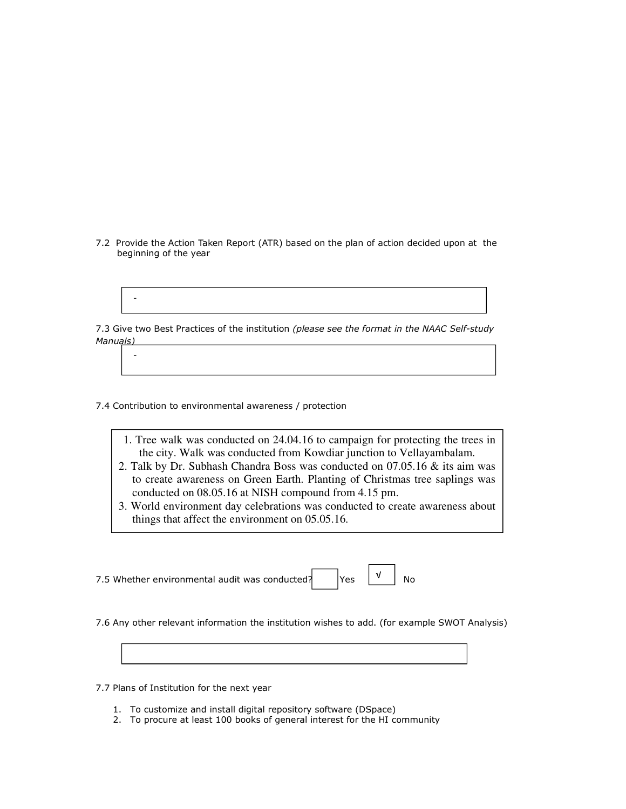7.2 Provide the Action Taken Report (ATR) based on the plan of action decided upon at the beginning of the year

-

7.3 Give two Best Practices of the institution (please see the format in the NAAC Self-study Manuals)

7.4 Contribution to environmental awareness / protection

-

- 1. Tree walk was conducted on 24.04.16 to campaign for protecting the trees in the city. Walk was conducted from Kowdiar junction to Vellayambalam.
- 2. Talk by Dr. Subhash Chandra Boss was conducted on 07.05.16 & its aim was to create awareness on Green Earth. Planting of Christmas tree saplings was conducted on 08.05.16 at NISH compound from 4.15 pm.
- 3. World environment day celebrations was conducted to create awareness about things that affect the environment on 05.05.16.

7.5 Whether environmental audit was conducted?  $\begin{array}{ccc} |V| & |V| & \text{No} \end{array}$ √

7.6 Any other relevant information the institution wishes to add. (for example SWOT Analysis)

7.7 Plans of Institution for the next year

- 1. To customize and install digital repository software (DSpace)
- 2. To procure at least 100 books of general interest for the HI community